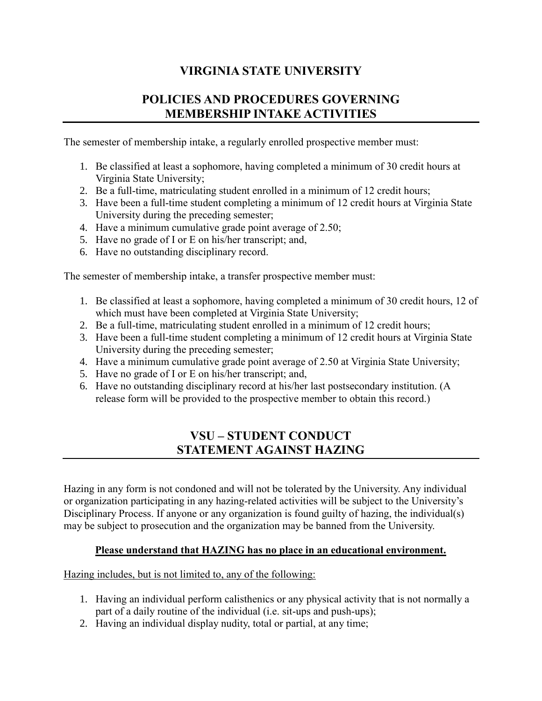# **VIRGINIA STATE UNIVERSITY**

## **POLICIES AND PROCEDURES GOVERNING MEMBERSHIP INTAKE ACTIVITIES**

The semester of membership intake, a regularly enrolled prospective member must:

- 1. Be classified at least a sophomore, having completed a minimum of 30 credit hours at Virginia State University;
- 2. Be a full-time, matriculating student enrolled in a minimum of 12 credit hours;
- 3. Have been a full-time student completing a minimum of 12 credit hours at Virginia State University during the preceding semester;
- 4. Have a minimum cumulative grade point average of 2.50;
- 5. Have no grade of I or E on his/her transcript; and,
- 6. Have no outstanding disciplinary record.

The semester of membership intake, a transfer prospective member must:

- 1. Be classified at least a sophomore, having completed a minimum of 30 credit hours, 12 of which must have been completed at Virginia State University;
- 2. Be a full-time, matriculating student enrolled in a minimum of 12 credit hours;
- 3. Have been a full-time student completing a minimum of 12 credit hours at Virginia State University during the preceding semester;
- 4. Have a minimum cumulative grade point average of 2.50 at Virginia State University;
- 5. Have no grade of I or E on his/her transcript; and,
- 6. Have no outstanding disciplinary record at his/her last postsecondary institution. (A release form will be provided to the prospective member to obtain this record.)

### **VSU – STUDENT CONDUCT STATEMENT AGAINST HAZING**

Hazing in any form is not condoned and will not be tolerated by the University. Any individual or organization participating in any hazing-related activities will be subject to the University's Disciplinary Process. If anyone or any organization is found guilty of hazing, the individual(s) may be subject to prosecution and the organization may be banned from the University.

### **Please understand that HAZING has no place in an educational environment.**

Hazing includes, but is not limited to, any of the following:

- 1. Having an individual perform calisthenics or any physical activity that is not normally a part of a daily routine of the individual (i.e. sit-ups and push-ups);
- 2. Having an individual display nudity, total or partial, at any time;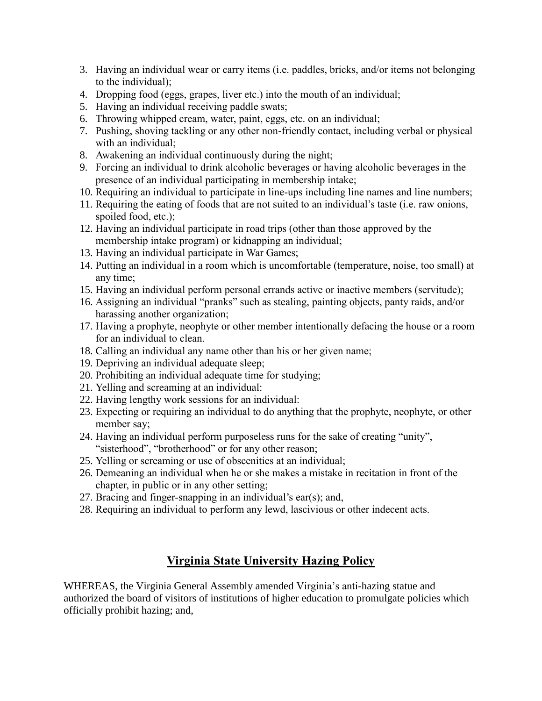- 3. Having an individual wear or carry items (i.e. paddles, bricks, and/or items not belonging to the individual);
- 4. Dropping food (eggs, grapes, liver etc.) into the mouth of an individual;
- 5. Having an individual receiving paddle swats;
- 6. Throwing whipped cream, water, paint, eggs, etc. on an individual;
- 7. Pushing, shoving tackling or any other non-friendly contact, including verbal or physical with an individual;
- 8. Awakening an individual continuously during the night;
- 9. Forcing an individual to drink alcoholic beverages or having alcoholic beverages in the presence of an individual participating in membership intake;
- 10. Requiring an individual to participate in line-ups including line names and line numbers;
- 11. Requiring the eating of foods that are not suited to an individual's taste (i.e. raw onions, spoiled food, etc.);
- 12. Having an individual participate in road trips (other than those approved by the membership intake program) or kidnapping an individual;
- 13. Having an individual participate in War Games;
- 14. Putting an individual in a room which is uncomfortable (temperature, noise, too small) at any time;
- 15. Having an individual perform personal errands active or inactive members (servitude);
- 16. Assigning an individual "pranks" such as stealing, painting objects, panty raids, and/or harassing another organization;
- 17. Having a prophyte, neophyte or other member intentionally defacing the house or a room for an individual to clean.
- 18. Calling an individual any name other than his or her given name;
- 19. Depriving an individual adequate sleep;
- 20. Prohibiting an individual adequate time for studying;
- 21. Yelling and screaming at an individual:
- 22. Having lengthy work sessions for an individual:
- 23. Expecting or requiring an individual to do anything that the prophyte, neophyte, or other member say;
- 24. Having an individual perform purposeless runs for the sake of creating "unity", "sisterhood", "brotherhood" or for any other reason;
- 25. Yelling or screaming or use of obscenities at an individual;
- 26. Demeaning an individual when he or she makes a mistake in recitation in front of the chapter, in public or in any other setting;
- 27. Bracing and finger-snapping in an individual's ear(s); and,
- 28. Requiring an individual to perform any lewd, lascivious or other indecent acts.

# **Virginia State University Hazing Policy**

WHEREAS, the Virginia General Assembly amended Virginia's anti-hazing statue and authorized the board of visitors of institutions of higher education to promulgate policies which officially prohibit hazing; and,